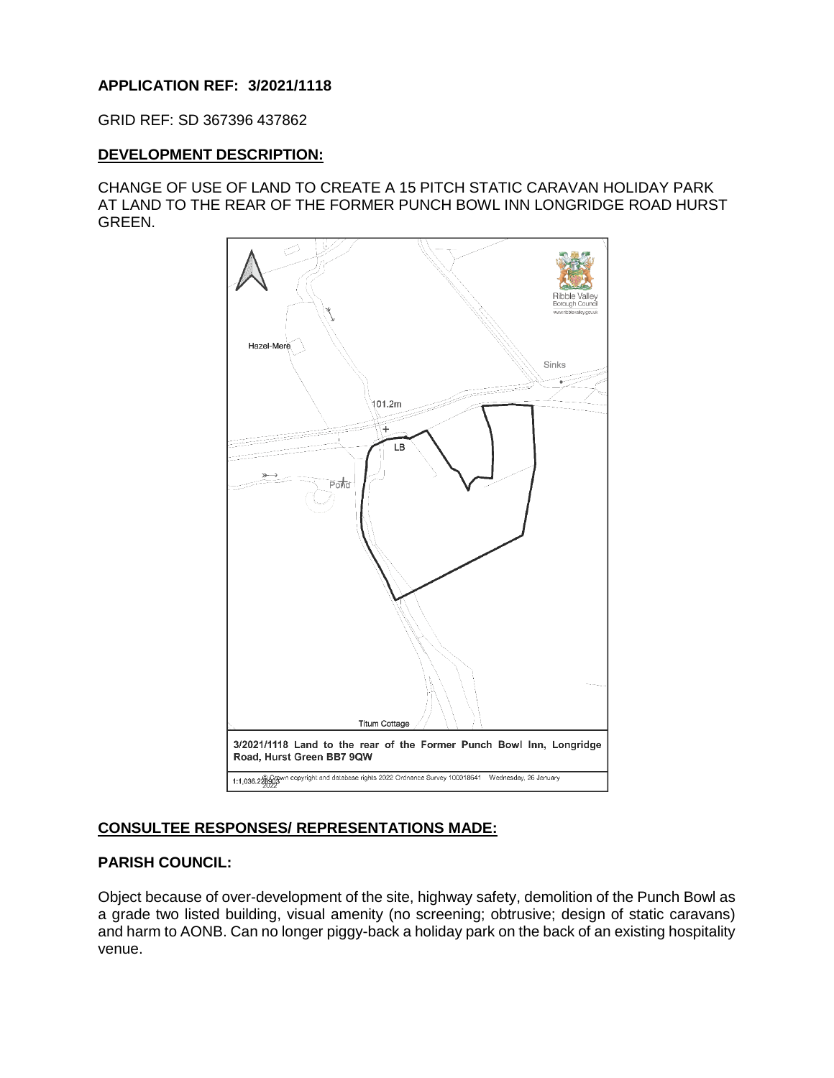# **APPLICATION REF: 3/2021/1118**

GRID REF: SD 367396 437862

#### **DEVELOPMENT DESCRIPTION:**

CHANGE OF USE OF LAND TO CREATE A 15 PITCH STATIC CARAVAN HOLIDAY PARK AT LAND TO THE REAR OF THE FORMER PUNCH BOWL INN LONGRIDGE ROAD HURST GREEN.



# **CONSULTEE RESPONSES/ REPRESENTATIONS MADE:**

# **PARISH COUNCIL:**

Object because of over-development of the site, highway safety, demolition of the Punch Bowl as a grade two listed building, visual amenity (no screening; obtrusive; design of static caravans) and harm to AONB. Can no longer piggy-back a holiday park on the back of an existing hospitality venue.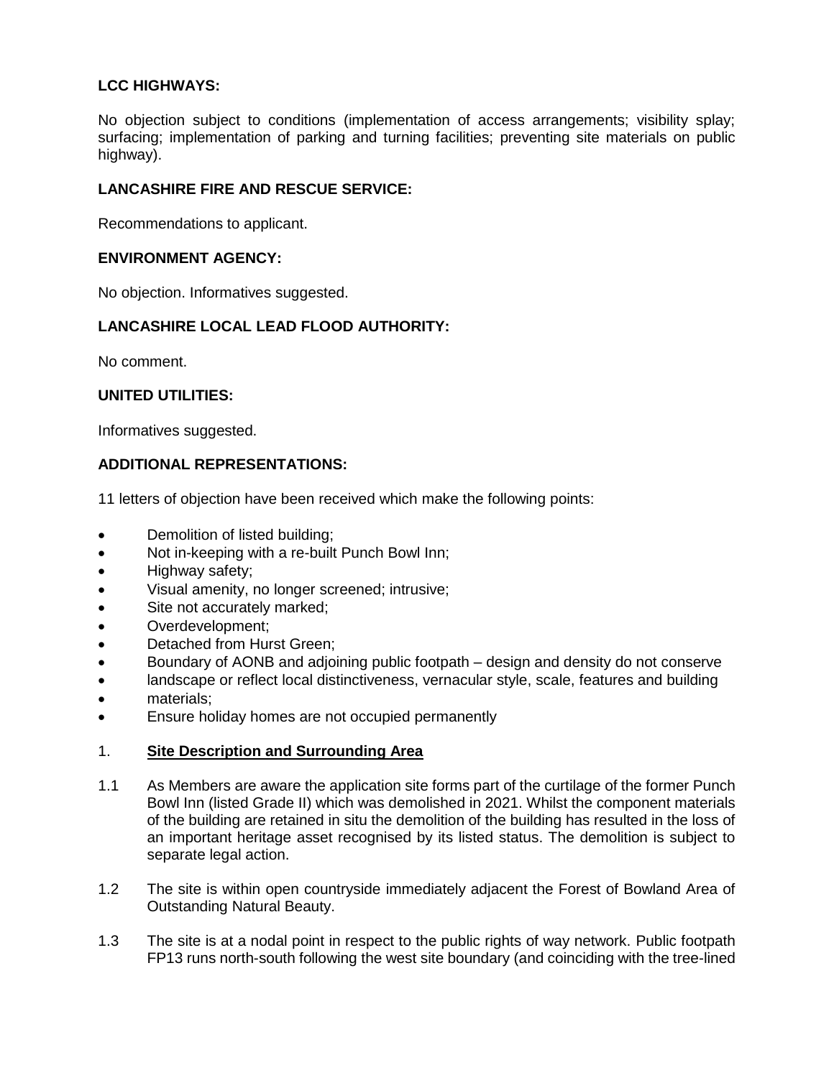# **LCC HIGHWAYS:**

No objection subject to conditions (implementation of access arrangements; visibility splay; surfacing; implementation of parking and turning facilities; preventing site materials on public highway).

## **LANCASHIRE FIRE AND RESCUE SERVICE:**

Recommendations to applicant.

## **ENVIRONMENT AGENCY:**

No objection. Informatives suggested.

# **LANCASHIRE LOCAL LEAD FLOOD AUTHORITY:**

No comment.

# **UNITED UTILITIES:**

Informatives suggested.

# **ADDITIONAL REPRESENTATIONS:**

11 letters of objection have been received which make the following points:

- Demolition of listed building;
- Not in-keeping with a re-built Punch Bowl Inn;
- Highway safety;
- Visual amenity, no longer screened; intrusive;
- Site not accurately marked;
- Overdevelopment;
- Detached from Hurst Green;
- Boundary of AONB and adjoining public footpath design and density do not conserve
- landscape or reflect local distinctiveness, vernacular style, scale, features and building
- materials:
- **Ensure holiday homes are not occupied permanently**

#### 1. **Site Description and Surrounding Area**

- 1.1 As Members are aware the application site forms part of the curtilage of the former Punch Bowl Inn (listed Grade II) which was demolished in 2021. Whilst the component materials of the building are retained in situ the demolition of the building has resulted in the loss of an important heritage asset recognised by its listed status. The demolition is subject to separate legal action.
- 1.2 The site is within open countryside immediately adjacent the Forest of Bowland Area of Outstanding Natural Beauty.
- 1.3 The site is at a nodal point in respect to the public rights of way network. Public footpath FP13 runs north-south following the west site boundary (and coinciding with the tree-lined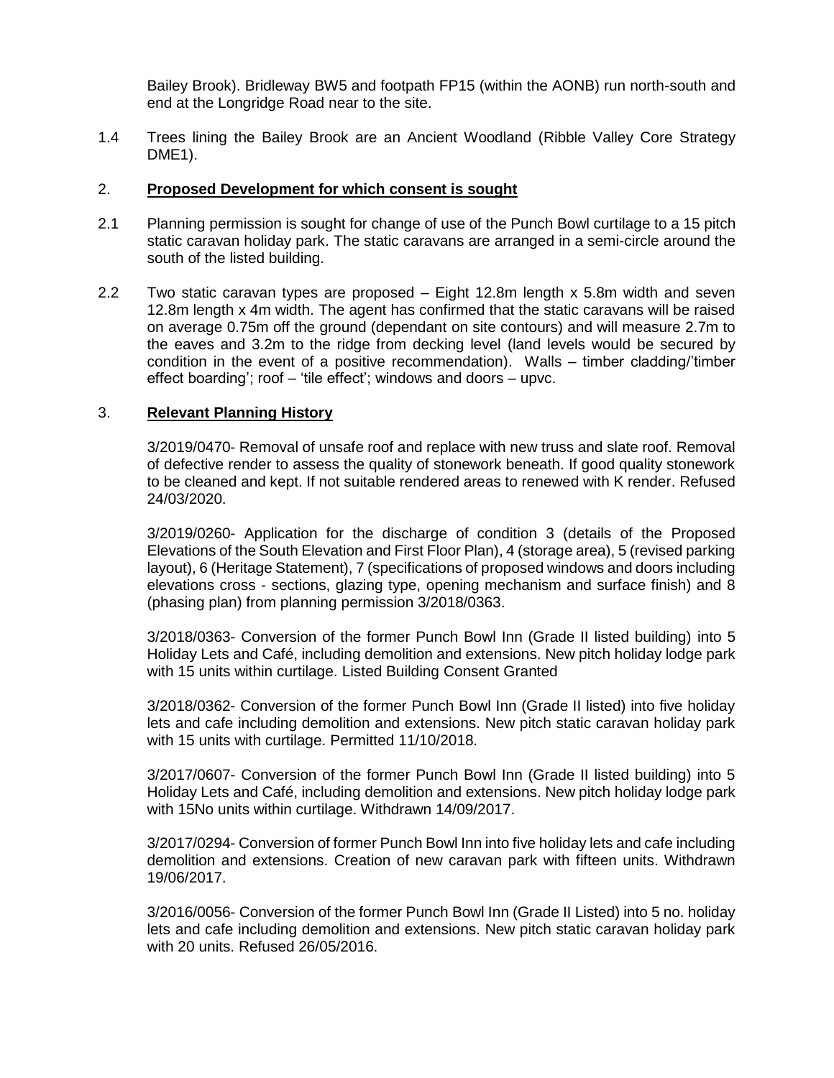Bailey Brook). Bridleway BW5 and footpath FP15 (within the AONB) run north-south and end at the Longridge Road near to the site.

1.4 Trees lining the Bailey Brook are an Ancient Woodland (Ribble Valley Core Strategy DME1).

#### 2. **Proposed Development for which consent is sought**

- 2.1 Planning permission is sought for change of use of the Punch Bowl curtilage to a 15 pitch static caravan holiday park. The static caravans are arranged in a semi-circle around the south of the listed building.
- 2.2 Two static caravan types are proposed Eight 12.8m length x 5.8m width and seven 12.8m length x 4m width. The agent has confirmed that the static caravans will be raised on average 0.75m off the ground (dependant on site contours) and will measure 2.7m to the eaves and 3.2m to the ridge from decking level (land levels would be secured by condition in the event of a positive recommendation). Walls – timber cladding/'timber effect boarding'; roof – 'tile effect'; windows and doors – upvc.

## 3. **Relevant Planning History**

3/2019/0470- Removal of unsafe roof and replace with new truss and slate roof. Removal of defective render to assess the quality of stonework beneath. If good quality stonework to be cleaned and kept. If not suitable rendered areas to renewed with K render. Refused 24/03/2020.

3/2019/0260- Application for the discharge of condition 3 (details of the Proposed Elevations of the South Elevation and First Floor Plan), 4 (storage area), 5 (revised parking layout), 6 (Heritage Statement), 7 (specifications of proposed windows and doors including elevations cross - sections, glazing type, opening mechanism and surface finish) and 8 (phasing plan) from planning permission 3/2018/0363.

3/2018/0363- Conversion of the former Punch Bowl Inn (Grade II listed building) into 5 Holiday Lets and Café, including demolition and extensions. New pitch holiday lodge park with 15 units within curtilage. Listed Building Consent Granted

3/2018/0362- Conversion of the former Punch Bowl Inn (Grade II listed) into five holiday lets and cafe including demolition and extensions. New pitch static caravan holiday park with 15 units with curtilage. Permitted 11/10/2018.

3/2017/0607- Conversion of the former Punch Bowl Inn (Grade II listed building) into 5 Holiday Lets and Café, including demolition and extensions. New pitch holiday lodge park with 15No units within curtilage. Withdrawn 14/09/2017.

3/2017/0294- Conversion of former Punch Bowl Inn into five holiday lets and cafe including demolition and extensions. Creation of new caravan park with fifteen units. Withdrawn 19/06/2017.

3/2016/0056- Conversion of the former Punch Bowl Inn (Grade II Listed) into 5 no. holiday lets and cafe including demolition and extensions. New pitch static caravan holiday park with 20 units. Refused 26/05/2016.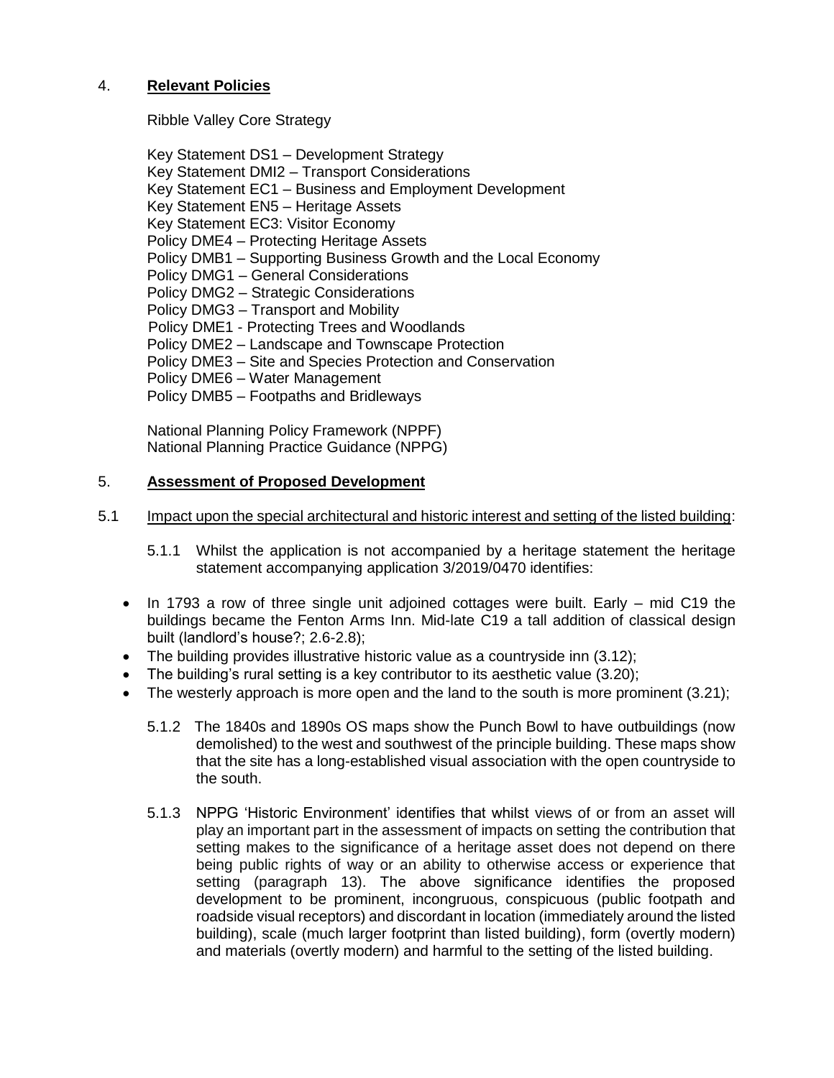# 4. **Relevant Policies**

Ribble Valley Core Strategy

Key Statement DS1 – Development Strategy Key Statement DMI2 – Transport Considerations Key Statement EC1 – Business and Employment Development Key Statement EN5 – Heritage Assets Key Statement EC3: Visitor Economy Policy DME4 – Protecting Heritage Assets Policy DMB1 – Supporting Business Growth and the Local Economy Policy DMG1 – General Considerations Policy DMG2 – Strategic Considerations Policy DMG3 – Transport and Mobility Policy DME1 - Protecting Trees and Woodlands Policy DME2 – Landscape and Townscape Protection Policy DME3 – Site and Species Protection and Conservation Policy DME6 – Water Management Policy DMB5 – Footpaths and Bridleways

National Planning Policy Framework (NPPF) National Planning Practice Guidance (NPPG)

## 5. **Assessment of Proposed Development**

## 5.1 Impact upon the special architectural and historic interest and setting of the listed building:

5.1.1 Whilst the application is not accompanied by a heritage statement the heritage statement accompanying application 3/2019/0470 identifies:

- $\bullet$  In 1793 a row of three single unit adjoined cottages were built. Early  $-$  mid C19 the buildings became the Fenton Arms Inn. Mid-late C19 a tall addition of classical design built (landlord's house?; 2.6-2.8);
- The building provides illustrative historic value as a countryside inn (3.12);
- The building's rural setting is a key contributor to its aesthetic value (3.20);
- $\bullet$  The westerly approach is more open and the land to the south is more prominent (3.21);
	- 5.1.2 The 1840s and 1890s OS maps show the Punch Bowl to have outbuildings (now demolished) to the west and southwest of the principle building. These maps show that the site has a long-established visual association with the open countryside to the south.
	- 5.1.3 NPPG 'Historic Environment' identifies that whilst views of or from an asset will play an important part in the assessment of impacts on setting the contribution that setting makes to the significance of a heritage asset does not depend on there being public rights of way or an ability to otherwise access or experience that setting (paragraph 13). The above significance identifies the proposed development to be prominent, incongruous, conspicuous (public footpath and roadside visual receptors) and discordant in location (immediately around the listed building), scale (much larger footprint than listed building), form (overtly modern) and materials (overtly modern) and harmful to the setting of the listed building.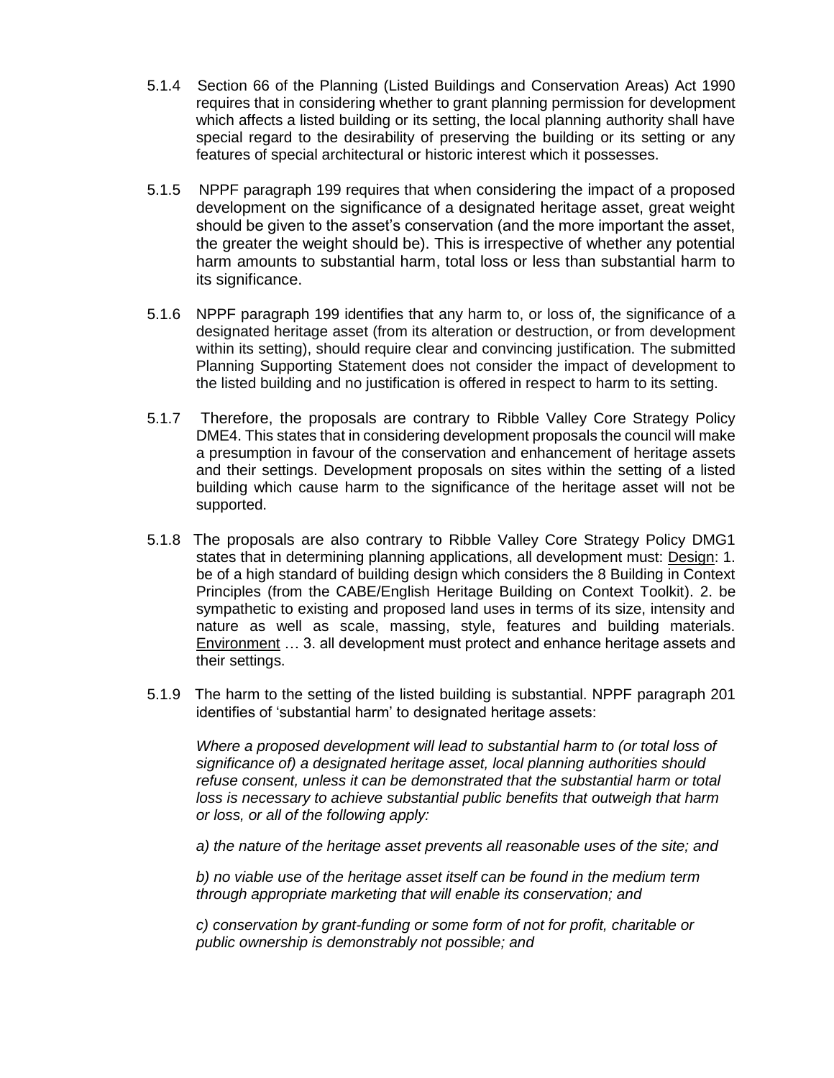- 5.1.4 Section 66 of the Planning (Listed Buildings and Conservation Areas) Act 1990 requires that in considering whether to grant planning permission for development which affects a listed building or its setting, the local planning authority shall have special regard to the desirability of preserving the building or its setting or any features of special architectural or historic interest which it possesses.
- 5.1.5 NPPF paragraph 199 requires that when considering the impact of a proposed development on the significance of a designated heritage asset, great weight should be given to the asset's conservation (and the more important the asset, the greater the weight should be). This is irrespective of whether any potential harm amounts to substantial harm, total loss or less than substantial harm to its significance.
- 5.1.6 NPPF paragraph 199 identifies that any harm to, or loss of, the significance of a designated heritage asset (from its alteration or destruction, or from development within its setting), should require clear and convincing justification. The submitted Planning Supporting Statement does not consider the impact of development to the listed building and no justification is offered in respect to harm to its setting.
- 5.1.7 Therefore, the proposals are contrary to Ribble Valley Core Strategy Policy DME4. This states that in considering development proposals the council will make a presumption in favour of the conservation and enhancement of heritage assets and their settings. Development proposals on sites within the setting of a listed building which cause harm to the significance of the heritage asset will not be supported.
- 5.1.8 The proposals are also contrary to Ribble Valley Core Strategy Policy DMG1 states that in determining planning applications, all development must: Design: 1. be of a high standard of building design which considers the 8 Building in Context Principles (from the CABE/English Heritage Building on Context Toolkit). 2. be sympathetic to existing and proposed land uses in terms of its size, intensity and nature as well as scale, massing, style, features and building materials. Environment … 3. all development must protect and enhance heritage assets and their settings.
- 5.1.9 The harm to the setting of the listed building is substantial. NPPF paragraph 201 identifies of 'substantial harm' to designated heritage assets:

*Where a proposed development will lead to substantial harm to (or total loss of significance of) a designated heritage asset, local planning authorities should refuse consent, unless it can be demonstrated that the substantial harm or total loss is necessary to achieve substantial public benefits that outweigh that harm or loss, or all of the following apply:* 

*a) the nature of the heritage asset prevents all reasonable uses of the site; and* 

*b) no viable use of the heritage asset itself can be found in the medium term through appropriate marketing that will enable its conservation; and* 

*c) conservation by grant-funding or some form of not for profit, charitable or public ownership is demonstrably not possible; and*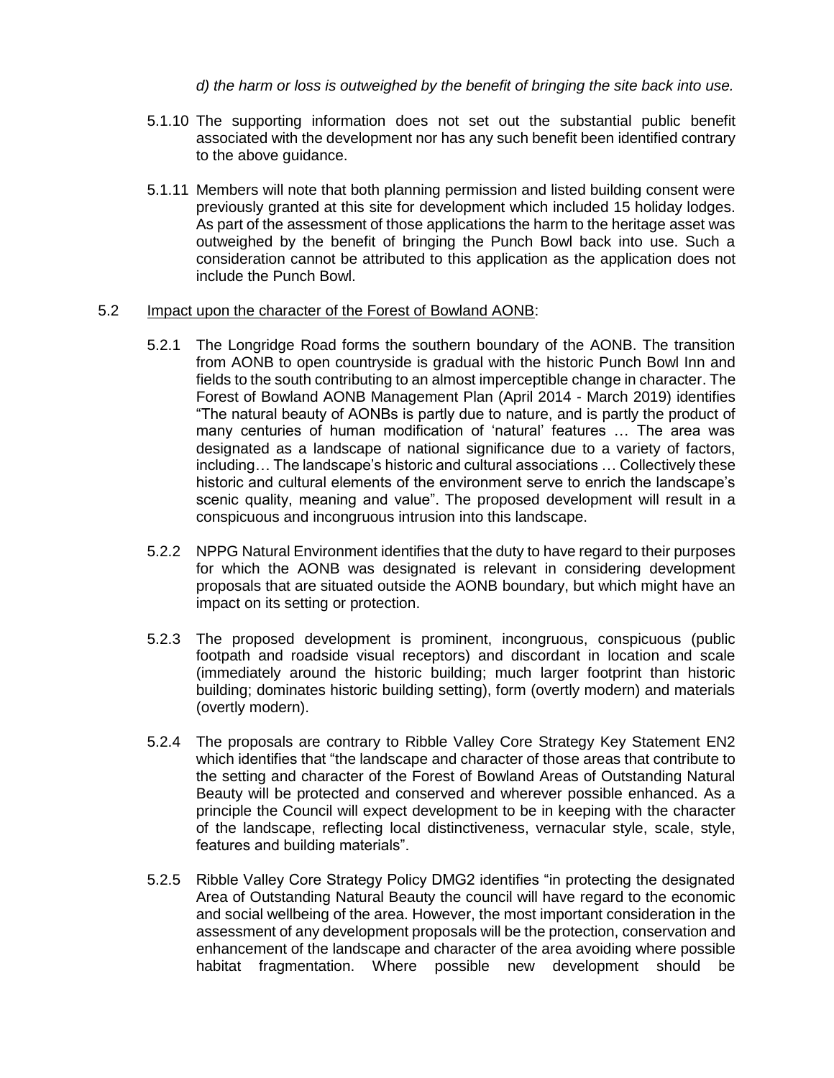### *d) the harm or loss is outweighed by the benefit of bringing the site back into use.*

- 5.1.10 The supporting information does not set out the substantial public benefit associated with the development nor has any such benefit been identified contrary to the above guidance.
- 5.1.11 Members will note that both planning permission and listed building consent were previously granted at this site for development which included 15 holiday lodges. As part of the assessment of those applications the harm to the heritage asset was outweighed by the benefit of bringing the Punch Bowl back into use. Such a consideration cannot be attributed to this application as the application does not include the Punch Bowl.

#### 5.2 Impact upon the character of the Forest of Bowland AONB:

- 5.2.1 The Longridge Road forms the southern boundary of the AONB. The transition from AONB to open countryside is gradual with the historic Punch Bowl Inn and fields to the south contributing to an almost imperceptible change in character. The Forest of Bowland AONB Management Plan (April 2014 - March 2019) identifies "The natural beauty of AONBs is partly due to nature, and is partly the product of many centuries of human modification of 'natural' features … The area was designated as a landscape of national significance due to a variety of factors, including… The landscape's historic and cultural associations … Collectively these historic and cultural elements of the environment serve to enrich the landscape's scenic quality, meaning and value". The proposed development will result in a conspicuous and incongruous intrusion into this landscape.
- 5.2.2 NPPG Natural Environment identifies that the duty to have regard to their purposes for which the AONB was designated is relevant in considering development proposals that are situated outside the AONB boundary, but which might have an impact on its setting or protection.
- 5.2.3 The proposed development is prominent, incongruous, conspicuous (public footpath and roadside visual receptors) and discordant in location and scale (immediately around the historic building; much larger footprint than historic building; dominates historic building setting), form (overtly modern) and materials (overtly modern).
- 5.2.4 The proposals are contrary to Ribble Valley Core Strategy Key Statement EN2 which identifies that "the landscape and character of those areas that contribute to the setting and character of the Forest of Bowland Areas of Outstanding Natural Beauty will be protected and conserved and wherever possible enhanced. As a principle the Council will expect development to be in keeping with the character of the landscape, reflecting local distinctiveness, vernacular style, scale, style, features and building materials".
- 5.2.5 Ribble Valley Core Strategy Policy DMG2 identifies "in protecting the designated Area of Outstanding Natural Beauty the council will have regard to the economic and social wellbeing of the area. However, the most important consideration in the assessment of any development proposals will be the protection, conservation and enhancement of the landscape and character of the area avoiding where possible habitat fragmentation. Where possible new development should be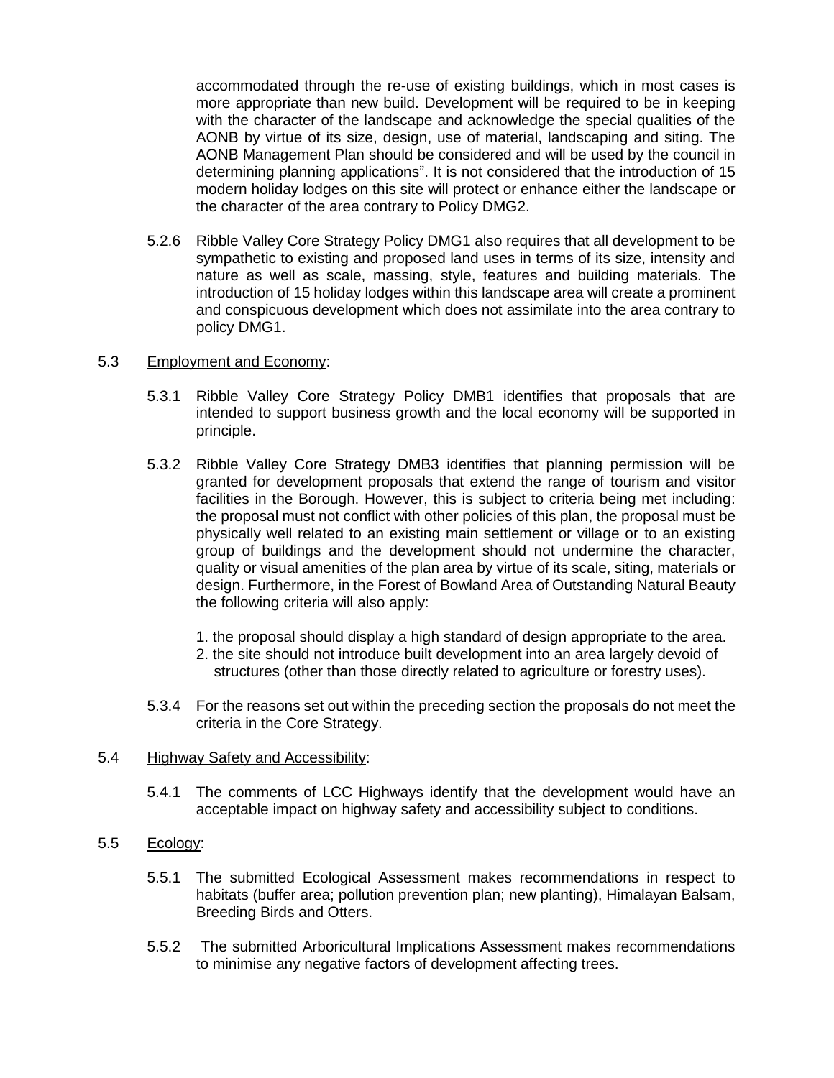accommodated through the re-use of existing buildings, which in most cases is more appropriate than new build. Development will be required to be in keeping with the character of the landscape and acknowledge the special qualities of the AONB by virtue of its size, design, use of material, landscaping and siting. The AONB Management Plan should be considered and will be used by the council in determining planning applications". It is not considered that the introduction of 15 modern holiday lodges on this site will protect or enhance either the landscape or the character of the area contrary to Policy DMG2.

5.2.6 Ribble Valley Core Strategy Policy DMG1 also requires that all development to be sympathetic to existing and proposed land uses in terms of its size, intensity and nature as well as scale, massing, style, features and building materials. The introduction of 15 holiday lodges within this landscape area will create a prominent and conspicuous development which does not assimilate into the area contrary to policy DMG1.

#### 5.3 Employment and Economy:

- 5.3.1 Ribble Valley Core Strategy Policy DMB1 identifies that proposals that are intended to support business growth and the local economy will be supported in principle.
- 5.3.2 Ribble Valley Core Strategy DMB3 identifies that planning permission will be granted for development proposals that extend the range of tourism and visitor facilities in the Borough. However, this is subject to criteria being met including: the proposal must not conflict with other policies of this plan, the proposal must be physically well related to an existing main settlement or village or to an existing group of buildings and the development should not undermine the character, quality or visual amenities of the plan area by virtue of its scale, siting, materials or design. Furthermore, in the Forest of Bowland Area of Outstanding Natural Beauty the following criteria will also apply:
	- 1. the proposal should display a high standard of design appropriate to the area.
	- 2. the site should not introduce built development into an area largely devoid of structures (other than those directly related to agriculture or forestry uses).
- 5.3.4 For the reasons set out within the preceding section the proposals do not meet the criteria in the Core Strategy.

#### 5.4 Highway Safety and Accessibility:

5.4.1 The comments of LCC Highways identify that the development would have an acceptable impact on highway safety and accessibility subject to conditions.

#### 5.5 Ecology:

- 5.5.1 The submitted Ecological Assessment makes recommendations in respect to habitats (buffer area; pollution prevention plan; new planting), Himalayan Balsam, Breeding Birds and Otters.
- 5.5.2 The submitted Arboricultural Implications Assessment makes recommendations to minimise any negative factors of development affecting trees.